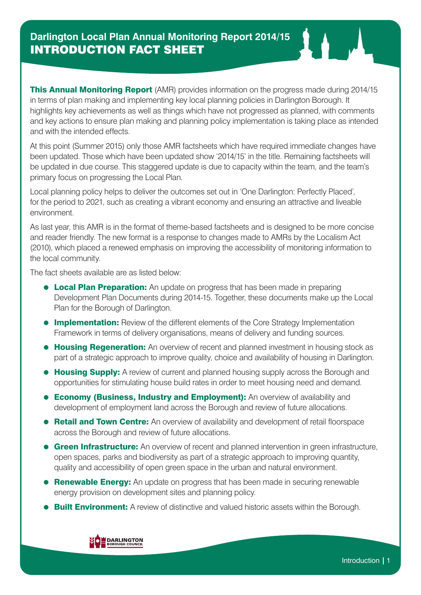**This Annual Monitoring Report** (AMR) provides information on the progress made during 2014/15 in terms of plan making and implementing key local planning policies in Darlington Borough. It highlights key achievements as well as things which have not progressed as planned, with comments and key actions to ensure plan making and planning policy implementation is taking place as intended and with the intended effects.

At this point (Summer 2015) only those AMR factsheets which have required immediate changes have been updated. Those which have been updated show '2014/15' in the title. Remaining factsheets will be updated in due course. This staggered update is due to capacity within the team, and the team's primary focus on progressing the Local Plan.

Local planning policy helps to deliver the outcomes set out in 'One Darlington: Perfectly Placed', for the period to 2021, such as creating a vibrant economy and ensuring an attractive and liveable environment.

As last year, this AMR is in the format of theme-based factsheets and is designed to be more concise and reader friendly. The new format is a response to changes made to AMRs by the Localism Act (2010), which placed a renewed emphasis on improving the accessibility of monitoring information to the local community.

The fact sheets available are as listed below:

- **Local Plan Preparation:** An update on progress that has been made in preparing Development Plan Documents during 2014-15. Together, these documents make up the Local Plan for the Borough of Darlington.
- **Implementation:** Review of the different elements of the Core Strategy Implementation Framework in terms of delivery organisations, means of delivery and funding sources.
- **Housing Regeneration:** An overview of recent and planned investment in housing stock as part of a strategic approach to improve quality, choice and availability of housing in Darlington.
- **Housing Supply:** A review of current and planned housing supply across the Borough and opportunities for stimulating house build rates in order to meet housing need and demand.
- **Economy (Business, Industry and Employment):** An overview of availability and development of employment land across the Borough and review of future allocations.
- **Retail and Town Centre:** An overview of availability and development of retail floorspace across the Borough and review of future allocations.
- **Green Infrastructure:** An overview of recent and planned intervention in green infrastructure, open spaces, parks and biodiversity as part of a strategic approach to improving quantity, quality and accessibility of open green space in the urban and natural environment.
- **Renewable Energy:** An update on progress that has been made in securing renewable energy provision on development sites and planning policy.
- **Built Environment:** A review of distinctive and valued historic assets within the Borough.

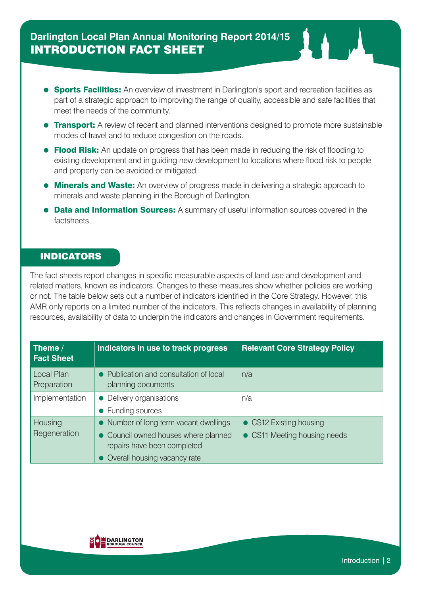## **Darlington Local Plan Annual Monitoring Report 2014/15** INTRODUCTION FACT SHEET

- **Sports Facilities:** An overview of investment in Darlington's sport and recreation facilities as part of a strategic approach to improving the range of quality, accessible and safe facilities that meet the needs of the community.
- **Transport:** A review of recent and planned interventions designed to promote more sustainable modes of travel and to reduce congestion on the roads.
- **Flood Risk:** An update on progress that has been made in reducing the risk of flooding to existing development and in guiding new development to locations where flood risk to people and property can be avoided or mitigated.
- **Minerals and Waste:** An overview of progress made in delivering a strategic approach to minerals and waste planning in the Borough of Darlington.
- Data and Information Sources: A summary of useful information sources covered in the factsheets.

## INDICATORS

The fact sheets report changes in specific measurable aspects of land use and development and related matters, known as indicators. Changes to these measures show whether policies are working or not. The table below sets out a number of indicators identified in the Core Strategy. However, this AMR only reports on a limited number of the indicators. This reflects changes in availability of planning resources, availability of data to underpin the indicators and changes in Government requirements.

| Theme /<br><b>Fact Sheet</b> | Indicators in use to track progress                                                                                                           | <b>Relevant Core Strategy Policy</b>                    |
|------------------------------|-----------------------------------------------------------------------------------------------------------------------------------------------|---------------------------------------------------------|
| Local Plan<br>Preparation    | Publication and consultation of local<br>planning documents                                                                                   | n/a                                                     |
| Implementation               | • Delivery organisations<br>• Funding sources                                                                                                 | n/a                                                     |
| Housing<br>Regeneration      | • Number of long term vacant dwellings<br>• Council owned houses where planned<br>repairs have been completed<br>Overall housing vacancy rate | • CS12 Existing housing<br>• CS11 Meeting housing needs |

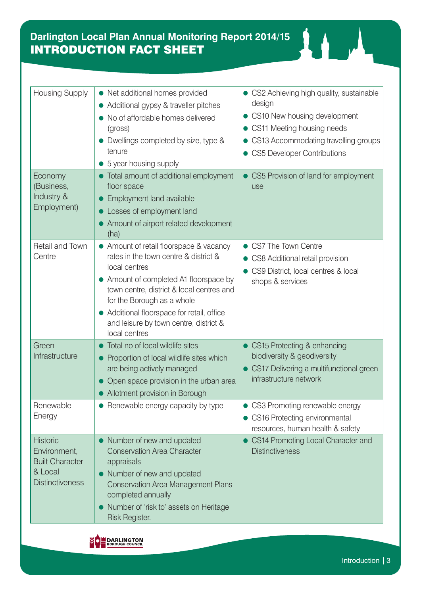| <b>Housing Supply</b>                                                                          | • Net additional homes provided<br>• Additional gypsy & traveller pitches<br>No of affordable homes delivered<br>(gross)<br>Dwellings completed by size, type &<br>tenure<br>5 year housing supply                                                                                                                              | • CS2 Achieving high quality, sustainable<br>design<br>• CS10 New housing development<br>• CS11 Meeting housing needs<br>CS13 Accommodating travelling groups<br><b>CS5 Developer Contributions</b> |
|------------------------------------------------------------------------------------------------|---------------------------------------------------------------------------------------------------------------------------------------------------------------------------------------------------------------------------------------------------------------------------------------------------------------------------------|-----------------------------------------------------------------------------------------------------------------------------------------------------------------------------------------------------|
| Economy<br>(Business,<br>Industry &<br>Employment)                                             | Total amount of additional employment<br>floor space<br>Employment land available<br>Losses of employment land<br>Amount of airport related development<br>(ha)                                                                                                                                                                 | CS5 Provision of land for employment<br>use                                                                                                                                                         |
| Retail and Town<br>Centre                                                                      | • Amount of retail floorspace & vacancy<br>rates in the town centre & district &<br>local centres<br>• Amount of completed A1 floorspace by<br>town centre, district & local centres and<br>for the Borough as a whole<br>• Additional floorspace for retail, office<br>and leisure by town centre, district &<br>local centres | CS7 The Town Centre<br>CS8 Additional retail provision<br>CS9 District, local centres & local<br>shops & services                                                                                   |
| Green<br>Infrastructure                                                                        | Total no of local wildlife sites<br>Proportion of local wildlife sites which<br>are being actively managed<br>Open space provision in the urban area<br>• Allotment provision in Borough                                                                                                                                        | CS15 Protecting & enhancing<br>biodiversity & geodiversity<br>CS17 Delivering a multifunctional green<br>infrastructure network                                                                     |
| Renewable<br>Energy                                                                            | • Renewable energy capacity by type                                                                                                                                                                                                                                                                                             | CS3 Promoting renewable energy<br>CS16 Protecting environmental<br>resources, human health & safety                                                                                                 |
| <b>Historic</b><br>Environment,<br><b>Built Character</b><br>& Local<br><b>Distinctiveness</b> | Number of new and updated<br><b>Conservation Area Character</b><br>appraisals<br>Number of new and updated<br><b>Conservation Area Management Plans</b><br>completed annually<br>Number of 'risk to' assets on Heritage<br>Risk Register.                                                                                       | CS14 Promoting Local Character and<br><b>Distinctiveness</b>                                                                                                                                        |



11 A